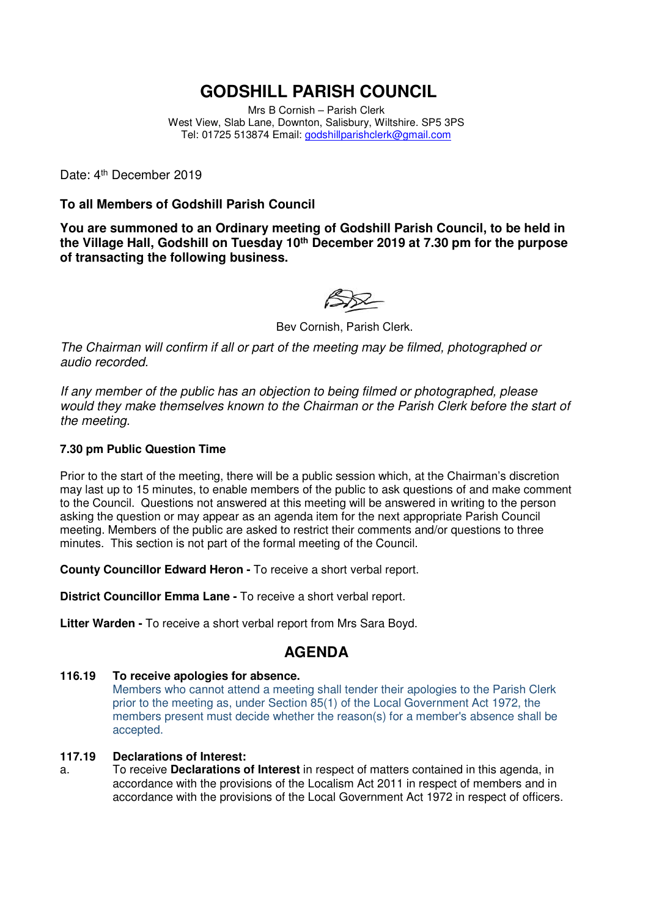# **GODSHILL PARISH COUNCIL**

Mrs B Cornish – Parish Clerk West View, Slab Lane, Downton, Salisbury, Wiltshire. SP5 3PS Tel: 01725 513874 Email: godshillparishclerk@gmail.com

Date: 4<sup>th</sup> December 2019

### **To all Members of Godshill Parish Council**

**You are summoned to an Ordinary meeting of Godshill Parish Council, to be held in the Village Hall, Godshill on Tuesday 10th December 2019 at 7.30 pm for the purpose of transacting the following business.** 

Bev Cornish, Parish Clerk.

The Chairman will confirm if all or part of the meeting may be filmed, photographed or audio recorded.

If any member of the public has an objection to being filmed or photographed, please would they make themselves known to the Chairman or the Parish Clerk before the start of the meeting.

### **7.30 pm Public Question Time**

Prior to the start of the meeting, there will be a public session which, at the Chairman's discretion may last up to 15 minutes, to enable members of the public to ask questions of and make comment to the Council. Questions not answered at this meeting will be answered in writing to the person asking the question or may appear as an agenda item for the next appropriate Parish Council meeting. Members of the public are asked to restrict their comments and/or questions to three minutes. This section is not part of the formal meeting of the Council.

**County Councillor Edward Heron -** To receive a short verbal report.

**District Councillor Emma Lane -** To receive a short verbal report.

**Litter Warden -** To receive a short verbal report from Mrs Sara Boyd.

### **AGENDA**

### **116.19 To receive apologies for absence.**

 Members who cannot attend a meeting shall tender their apologies to the Parish Clerk prior to the meeting as, under Section 85(1) of the Local Government Act 1972, the members present must decide whether the reason(s) for a member's absence shall be accepted.

### **117.19 Declarations of Interest:**

a. To receive **Declarations of Interest** in respect of matters contained in this agenda, in accordance with the provisions of the Localism Act 2011 in respect of members and in accordance with the provisions of the Local Government Act 1972 in respect of officers.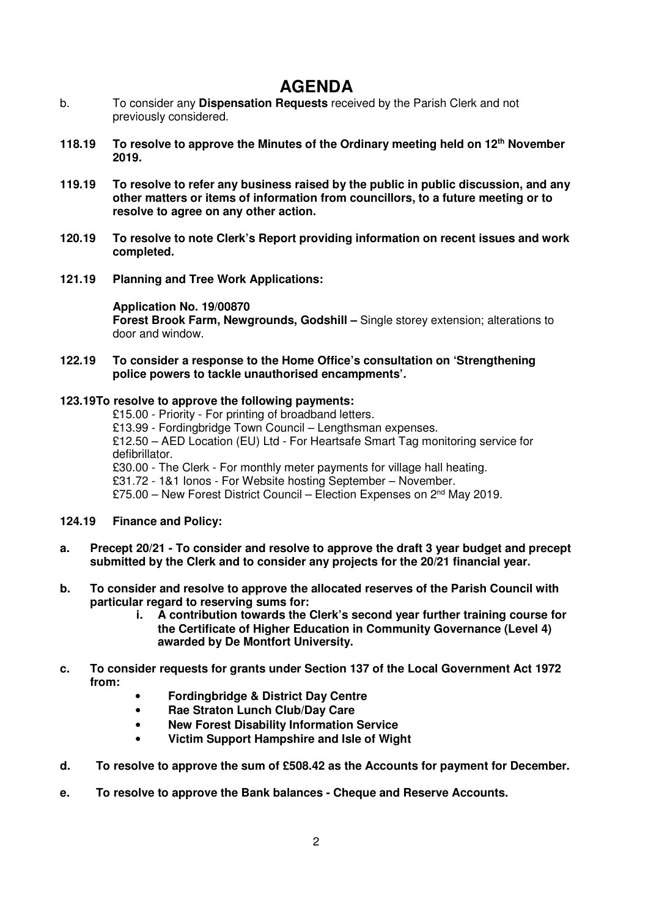# **AGENDA**

- b. To consider any **Dispensation Requests** received by the Parish Clerk and not previously considered.
- **118.19 To resolve to approve the Minutes of the Ordinary meeting held on 12th November 2019.**
- **119.19 To resolve to refer any business raised by the public in public discussion, and any other matters or items of information from councillors, to a future meeting or to resolve to agree on any other action.**
- **120.19 To resolve to note Clerk's Report providing information on recent issues and work completed.**
- **121.19 Planning and Tree Work Applications:**

**Application No. 19/00870 Forest Brook Farm, Newgrounds, Godshill –** Single storey extension; alterations to door and window.

**122.19 To consider a response to the Home Office's consultation on 'Strengthening police powers to tackle unauthorised encampments'.** 

#### **123.19 To resolve to approve the following payments:**

 £15.00 - Priority - For printing of broadband letters. £13.99 - Fordingbridge Town Council – Lengthsman expenses. £12.50 – AED Location (EU) Ltd - For Heartsafe Smart Tag monitoring service for defibrillator. £30.00 - The Clerk - For monthly meter payments for village hall heating. £31.72 - 1&1 Ionos - For Website hosting September – November. £75.00 – New Forest District Council – Election Expenses on 2nd May 2019.

### **124.19 Finance and Policy:**

- **a. Precept 20/21 To consider and resolve to approve the draft 3 year budget and precept submitted by the Clerk and to consider any projects for the 20/21 financial year.**
- **b. To consider and resolve to approve the allocated reserves of the Parish Council with particular regard to reserving sums for:** 
	- **i. A contribution towards the Clerk's second year further training course for the Certificate of Higher Education in Community Governance (Level 4) awarded by De Montfort University.**
- **c. To consider requests for grants under Section 137 of the Local Government Act 1972 from:** 
	- **Fordingbridge & District Day Centre**
	- **Rae Straton Lunch Club/Day Care**
	- **New Forest Disability Information Service**
	- **Victim Support Hampshire and Isle of Wight**
- **d. To resolve to approve the sum of £508.42 as the Accounts for payment for December.**
- **e. To resolve to approve the Bank balances Cheque and Reserve Accounts.**